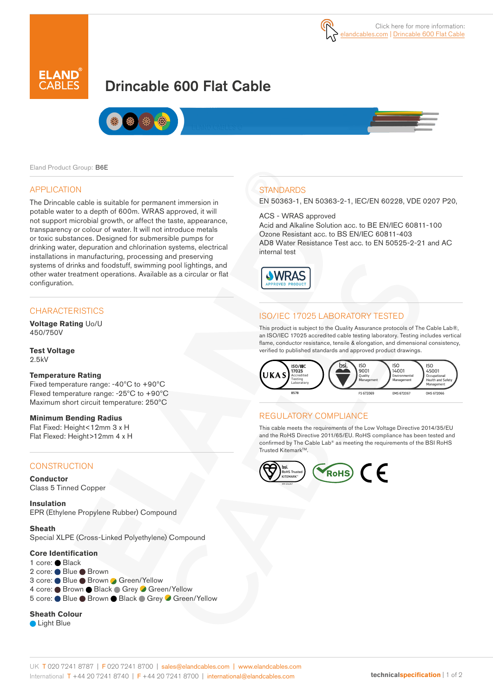



# Drincable 600 Flat Cable



Eland Product Group: B6E

#### APPLICATION

The Drincable cable is suitable for permanent immersion in potable water to a depth of 600m. WRAS approved, it will not support microbial growth, or affect the taste, appearance, transparency or colour of water. It will not introduce metals or toxic substances. Designed for submersible pumps for drinking water, depuration and chlorination systems, electrical installations in manufacturing, processing and preserving systems of drinks and foodstuff, swimming pool lightings, and other water treatment operations. Available as a circular or flat configuration.

#### **CHARACTERISTICS**

**Voltage Rating** Uo/U 450/750V

**Test Voltage** 2.5kV

#### **Temperature Rating**

Fixed temperature range: -40ºC to +90ºC Flexed temperature range: -25ºC to +90ºC Maximum short circuit temperature: 250ºC

#### **Minimum Bending Radius**

Flat Fixed: Height<12mm 3 x H Flat Flexed: Height>12mm 4 x H

#### **CONSTRUCTION**

**Conductor** Class 5 Tinned Copper

**Insulation** EPR (Ethylene Propylene Rubber) Compound

**Sheath** Special XLPE (Cross-Linked Polyethylene) Compound

#### **Core Identification**

1 core: Black 2 core: ● Blue ● Brown 3 core: ● Blue ● Brown ● Green/Yellow 4 core: ● Brown ● Black ● Grey ● Green/Yellow 5 core: Blue Brown Black Grey Green/Yellow

#### **Sheath Colour**

**C** Light Blue

## **STANDARDS**

EN 50363-1, EN 50363-2-1, IEC/EN 60228, VDE 0207 P20,

ACS - WRAS approved

Acid and Alkaline Solution acc. to BE EN/IEC 60811-100 Ozone Resistant acc. to BS EN/IEC 60811-403 AD8 Water Resistance Test acc. to EN 50525-2-21 and AC internal test



## ISO/IEC 17025 LABORATORY TESTED

This product is subject to the Quality Assurance protocols of The Cable Lab®, an ISO/IEC 17025 accredited cable testing laboratory. Testing includes vertical flame, conductor resistance, tensile & elongation, and dimensional consistency, verified to published standards and approved product drawings.



#### REGULATORY COMPLIANCE

This cable meets the requirements of the Low Voltage Directive 2014/35/EU and the RoHS Directive 2011/65/EU. RoHS compliance has been tested and confirmed by The Cable Lab® as meeting the requirements of the BSI RoHS Trusted Kitemark™.